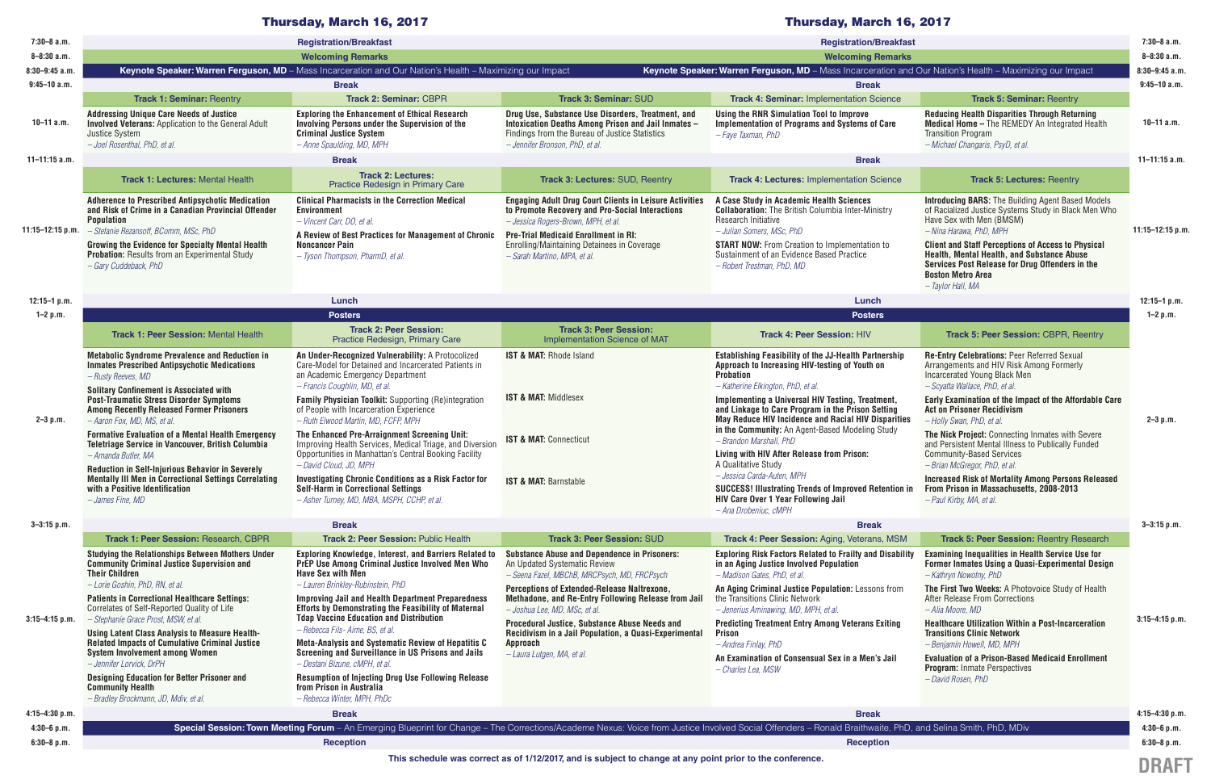| $7:30-8$ a.m.        | <b>Registration/Breakfast</b>                                                                                                                                                                                                                                                   |                                                                                                                                                                                                                                                                                                                                                                                                                                                                                                                       |                                                                                                                                                                                                                                                                                                                                                                                                               | <b>Registration/Breakfast</b>                                                                                                                                                                                                                                               |                                                                                                                                                                                                                                                  |                  |
|----------------------|---------------------------------------------------------------------------------------------------------------------------------------------------------------------------------------------------------------------------------------------------------------------------------|-----------------------------------------------------------------------------------------------------------------------------------------------------------------------------------------------------------------------------------------------------------------------------------------------------------------------------------------------------------------------------------------------------------------------------------------------------------------------------------------------------------------------|---------------------------------------------------------------------------------------------------------------------------------------------------------------------------------------------------------------------------------------------------------------------------------------------------------------------------------------------------------------------------------------------------------------|-----------------------------------------------------------------------------------------------------------------------------------------------------------------------------------------------------------------------------------------------------------------------------|--------------------------------------------------------------------------------------------------------------------------------------------------------------------------------------------------------------------------------------------------|------------------|
| $8 - 8:30a.m.$       |                                                                                                                                                                                                                                                                                 | <b>Welcoming Remarks</b>                                                                                                                                                                                                                                                                                                                                                                                                                                                                                              |                                                                                                                                                                                                                                                                                                                                                                                                               | <b>Welcoming Remarks</b>                                                                                                                                                                                                                                                    |                                                                                                                                                                                                                                                  |                  |
| $8:30 - 9:45$ a.m.   | Keynote Speaker: Warren Ferguson, MD - Mass Incarceration and Our Nation's Health - Maximizing our Impact                                                                                                                                                                       |                                                                                                                                                                                                                                                                                                                                                                                                                                                                                                                       |                                                                                                                                                                                                                                                                                                                                                                                                               | Keynote Speaker: Warren Ferguson, MD - Mass Incarceration and Our Nation's Health - Maximizing our Impact                                                                                                                                                                   |                                                                                                                                                                                                                                                  |                  |
| $9:45 - 10a.m.$      |                                                                                                                                                                                                                                                                                 | <b>Break</b><br><b>Break</b>                                                                                                                                                                                                                                                                                                                                                                                                                                                                                          |                                                                                                                                                                                                                                                                                                                                                                                                               |                                                                                                                                                                                                                                                                             |                                                                                                                                                                                                                                                  |                  |
|                      | <b>Track 1: Seminar: Reentry</b>                                                                                                                                                                                                                                                | <b>Track 2: Seminar: CBPR</b>                                                                                                                                                                                                                                                                                                                                                                                                                                                                                         | <b>Track 3: Seminar: SUD</b>                                                                                                                                                                                                                                                                                                                                                                                  | <b>Track 4: Seminar: Implementation Science</b>                                                                                                                                                                                                                             | <b>Track 5: Seminar: Reentry</b>                                                                                                                                                                                                                 |                  |
| $10-11$ a.m.         | <b>Addressing Unique Care Needs of Justice</b><br><b>Involved Veterans: Application to the General Adult</b><br><b>Justice System</b><br>- Joel Rosenthal, PhD, et al.                                                                                                          | <b>Exploring the Enhancement of Ethical Research</b><br><b>Involving Persons under the Supervision of the</b><br><b>Criminal Justice System</b><br>- Anne Spaulding, MD, MPH                                                                                                                                                                                                                                                                                                                                          | Drug Use, Substance Use Disorders, Treatment, and<br>Intoxication Deaths Among Prison and Jail Inmates -<br>Findings from the Bureau of Justice Statistics<br>- Jennifer Bronson, PhD, et al.                                                                                                                                                                                                                 | Using the RNR Simulation Tool to Improve<br>Implementation of Programs and Systems of Care<br>- Faye Taxman, PhD                                                                                                                                                            | <b>Reducing Health Disparities Through Returning</b><br><b>Medical Home - The REMEDY An Integrated Health</b><br><b>Transition Program</b><br>- Michael Changaris, PsyD, et al.                                                                  | $10-11$ a.m.     |
| $11 - 11:15$ a.m.    | <b>Break</b><br><b>Break</b>                                                                                                                                                                                                                                                    |                                                                                                                                                                                                                                                                                                                                                                                                                                                                                                                       |                                                                                                                                                                                                                                                                                                                                                                                                               |                                                                                                                                                                                                                                                                             |                                                                                                                                                                                                                                                  | $11 - 11:15$ a.m |
| $11:15 - 12:15 p.m.$ | <b>Track 1: Lectures: Mental Health</b>                                                                                                                                                                                                                                         | <b>Track 2: Lectures:</b><br>Practice Redesign in Primary Care                                                                                                                                                                                                                                                                                                                                                                                                                                                        | Track 3: Lectures: SUD, Reentry                                                                                                                                                                                                                                                                                                                                                                               | <b>Track 4: Lectures: Implementation Science</b>                                                                                                                                                                                                                            | <b>Track 5: Lectures: Reentry</b>                                                                                                                                                                                                                | 11:15-12:15 p.m. |
|                      | <b>Adherence to Prescribed Antipsychotic Medication</b><br>and Risk of Crime in a Canadian Provincial Offender<br><b>Population</b><br>- Stefanie Rezansoff, BComm, MSc, PhD                                                                                                    | <b>Clinical Pharmacists in the Correction Medical</b><br><b>Environment</b><br>- Vincent Carr, DO, et al.<br>A Review of Best Practices for Management of Chronic                                                                                                                                                                                                                                                                                                                                                     | <b>Engaging Adult Drug Court Clients in Leisure Activities</b><br>to Promote Recovery and Pro-Social Interactions<br>- Jessica Rogers-Brown, MPH, et al.<br><b>Pre-Trial Medicaid Enrollment in RI:</b>                                                                                                                                                                                                       | A Case Study in Academic Health Sciences<br><b>Collaboration:</b> The British Columbia Inter-Ministry<br>Research Initiative<br>- Julian Somers, MSc, PhD                                                                                                                   | <b>Introducing BARS: The Building Agent Based Models</b><br>of Racialized Justice Systems Study in Black Men Who<br>Have Sex with Men (BMSM)<br>- Nina Harawa, PhD, MPH                                                                          |                  |
|                      | <b>Growing the Evidence for Specialty Mental Health</b><br>Probation: Results from an Experimental Study<br>- Gary Cuddeback, PhD                                                                                                                                               | <b>Noncancer Pain</b><br>- Tyson Thompson, PharmD, et al.                                                                                                                                                                                                                                                                                                                                                                                                                                                             | Enrolling/Maintaining Detainees in Coverage<br>- Sarah Martino, MPA, et al.                                                                                                                                                                                                                                                                                                                                   | <b>START NOW:</b> From Creation to Implementation to<br>Sustainment of an Evidence Based Practice<br>- Robert Trestman, PhD, MD                                                                                                                                             | <b>Client and Staff Perceptions of Access to Physical</b><br>Health, Mental Health, and Substance Abuse<br>Services Post Release for Drug Offenders in the<br><b>Boston Metro Area</b><br>- Taylor Hall, MA                                      |                  |
| 12:15-1 $p.m.$       |                                                                                                                                                                                                                                                                                 | Lunch                                                                                                                                                                                                                                                                                                                                                                                                                                                                                                                 |                                                                                                                                                                                                                                                                                                                                                                                                               | Lunch                                                                                                                                                                                                                                                                       |                                                                                                                                                                                                                                                  | 12:15-1 $p.m.$   |
| $1-2 p.m.$           |                                                                                                                                                                                                                                                                                 | <b>Posters</b>                                                                                                                                                                                                                                                                                                                                                                                                                                                                                                        |                                                                                                                                                                                                                                                                                                                                                                                                               | <b>Posters</b>                                                                                                                                                                                                                                                              |                                                                                                                                                                                                                                                  | $1 - 2 p.m.$     |
|                      | <b>Track 1: Peer Session: Mental Health</b>                                                                                                                                                                                                                                     | <b>Track 2: Peer Session:</b>                                                                                                                                                                                                                                                                                                                                                                                                                                                                                         | <b>Track 3: Peer Session:</b>                                                                                                                                                                                                                                                                                                                                                                                 | <b>Track 4: Peer Session: HIV</b>                                                                                                                                                                                                                                           | Track 5: Peer Session: CBPR, Reentry                                                                                                                                                                                                             | $2 - 3 p.m.$     |
| $2 - 3 p.m.$         | <b>Metabolic Syndrome Prevalence and Reduction in</b><br><b>Inmates Prescribed Antipsychotic Medications</b>                                                                                                                                                                    | Practice Redesign, Primary Care<br>An Under-Recognized Vulnerability: A Protocolized<br>Care-Model for Detained and Incarcerated Patients in                                                                                                                                                                                                                                                                                                                                                                          | Implementation Science of MAT<br><b>IST &amp; MAT: Rhode Island</b>                                                                                                                                                                                                                                                                                                                                           | <b>Establishing Feasibility of the JJ-Health Partnership</b><br>Approach to Increasing HIV-testing of Youth on                                                                                                                                                              | Re-Entry Celebrations: Peer Referred Sexual<br>Arrangements and HIV Risk Among Formerly                                                                                                                                                          |                  |
|                      | - Rusty Reeves, MD<br><b>Solitary Confinement is Associated with</b><br><b>Post-Traumatic Stress Disorder Symptoms</b><br><b>Among Recently Released Former Prisoners</b><br>- Aaron Fox, MD, MS, et al.                                                                        | an Academic Emergency Department<br>- Francis Coughlin, MD, et al.<br><b>Family Physician Toolkit:</b> Supporting (Re)integration<br>of People with Incarceration Experience<br>- Ruth Elwood Martin, MD, FCFP, MPH                                                                                                                                                                                                                                                                                                   | IST & MAT: Middlesex                                                                                                                                                                                                                                                                                                                                                                                          | <b>Probation</b><br>- Katherine Elkington, PhD, et al.<br>Implementing a Universal HIV Testing, Treatment,<br>and Linkage to Care Program in the Prison Setting<br><b>May Reduce HIV Incidence and Racial HIV Disparities</b>                                               | Incarcerated Young Black Men<br>- Scyatta Wallace, PhD, et al.<br>Early Examination of the Impact of the Affordable Care<br><b>Act on Prisoner Recidivism</b><br>- Holly Swan, PhD, et al.                                                       |                  |
|                      | <b>Formative Evaluation of a Mental Health Emergency</b><br>Teletriage Service in Vancouver, British Columbia<br>- Amanda Butler, MA                                                                                                                                            | The Enhanced Pre-Arraignment Screening Unit:<br>Improving Health Services, Medical Triage, and Diversion<br>Opportunities in Manhattan's Central Booking Facility<br>- David Cloud, JD, MPH                                                                                                                                                                                                                                                                                                                           | IST & MAT: Connecticut                                                                                                                                                                                                                                                                                                                                                                                        | in the Community: An Agent-Based Modeling Study<br>- Brandon Marshall, PhD<br>Living with HIV After Release from Prison:<br>A Qualitative Study                                                                                                                             | The Nick Project: Connecting Inmates with Severe<br>and Persistent Mental Illness to Publically Funded<br><b>Community-Based Services</b><br>- Brian McGregor, PhD, et al.                                                                       |                  |
|                      | <b>Reduction in Self-Injurious Behavior in Severely</b><br><b>Mentally III Men in Correctional Settings Correlating</b><br>with a Positive Identification<br>- James Fine, MD                                                                                                   | <b>Investigating Chronic Conditions as a Risk Factor for</b><br><b>Self-Harm in Correctional Settings</b><br>- Asher Turney, MD, MBA, MSPH, CCHP, et al.                                                                                                                                                                                                                                                                                                                                                              | <b>IST &amp; MAT: Barnstable</b>                                                                                                                                                                                                                                                                                                                                                                              | - Jessica Carda-Auten, MPH<br><b>SUCCESS! Illustrating Trends of Improved Retention in</b><br><b>HIV Care Over 1 Year Following Jail</b><br>- Ana Drobeniuc, cMPH                                                                                                           | <b>Increased Risk of Mortality Among Persons Released</b><br>From Prison in Massachusetts, 2008-2013<br>- Paul Kirby, MA, et al.                                                                                                                 |                  |
| $3 - 3:15$ p.m.      |                                                                                                                                                                                                                                                                                 | <b>Break</b>                                                                                                                                                                                                                                                                                                                                                                                                                                                                                                          |                                                                                                                                                                                                                                                                                                                                                                                                               | <b>Break</b>                                                                                                                                                                                                                                                                |                                                                                                                                                                                                                                                  | $3 - 3:15$ p.m.  |
|                      | <b>Track 1: Peer Session: Research, CBPR</b>                                                                                                                                                                                                                                    | <b>Track 2: Peer Session: Public Health</b>                                                                                                                                                                                                                                                                                                                                                                                                                                                                           | <b>Track 3: Peer Session: SUD</b>                                                                                                                                                                                                                                                                                                                                                                             | <b>Track 4: Peer Session: Aging, Veterans, MSM</b>                                                                                                                                                                                                                          | <b>Track 5: Peer Session: Reentry Research</b>                                                                                                                                                                                                   |                  |
| $3:15-4:15$ p.m.     | <b>Studying the Relationships Between Mothers Under</b><br><b>Community Criminal Justice Supervision and</b><br><b>Their Children</b><br>- Lorie Goshin, PhD, RN, et al.<br><b>Patients in Correctional Healthcare Settings:</b><br>Correlates of Self-Reported Quality of Life | <b>Exploring Knowledge, Interest, and Barriers Related to</b><br><b>PrEP Use Among Criminal Justice Involved Men Who</b><br><b>Have Sex with Men</b><br>- Lauren Brinkley-Rubinstein, PhD<br><b>Improving Jail and Health Department Preparedness</b><br><b>Efforts by Demonstrating the Feasibility of Maternal</b><br><b>Tdap Vaccine Education and Distribution</b><br>- Rebecca Fils-Aime, BS, et al.<br>Meta-Analysis and Systematic Review of Hepatitis C<br>Screening and Surveillance in US Prisons and Jails | <b>Substance Abuse and Dependence in Prisoners:</b><br>An Updated Systematic Review<br>- Seena Fazel, MBChB, MRCPsych, MD, FRCPsych<br><b>Perceptions of Extended-Release Naltrexone,</b><br>Methadone, and Re-Entry Following Release from Jai<br>- Joshua Lee, MD, MSc, et al.<br><b>Procedural Justice, Substance Abuse Needs and</b><br>Recidivism in a Jail Population, a Quasi-Experimental<br>Approach | <b>Exploring Risk Factors Related to Frailty and Disability</b><br>in an Aging Justice Involved Population<br>- Madison Gates, PhD, et al.<br>An Aging Criminal Justice Population: Lessons from<br>the Transitions Clinic Network<br>- Jenerius Aminawing, MD, MPH, et al. | <b>Examining Inequalities in Health Service Use for</b><br>Former Inmates Using a Quasi-Experimental Design<br>- Kathryn Nowotny, PhD<br>The First Two Weeks: A Photovoice Study of Health<br>After Release From Corrections<br>- Alia Moore, MD |                  |
|                      | - Stephanie Grace Prost, MSW, et al.<br>Using Latent Class Analysis to Measure Health-<br><b>Related Impacts of Cumulative Criminal Justice</b><br>System Involvement among Women                                                                                               |                                                                                                                                                                                                                                                                                                                                                                                                                                                                                                                       |                                                                                                                                                                                                                                                                                                                                                                                                               | <b>Predicting Treatment Entry Among Veterans Exiting</b><br><b>Prison</b><br>- Andrea Finlay, PhD                                                                                                                                                                           | <b>Healthcare Utilization Within a Post-Incarceration</b><br><b>Transitions Clinic Network</b><br>- Benjamin Howell, MD, MPH                                                                                                                     | $3:15-4:15$ p.m. |
|                      | - Jennifer Lorvick, DrPH<br><b>Designing Education for Better Prisoner and</b><br><b>Community Health</b>                                                                                                                                                                       | - Destani Bizune, cMPH, et al.<br><b>Resumption of Injecting Drug Use Following Release</b><br>from Prison in Australia                                                                                                                                                                                                                                                                                                                                                                                               | - Laura Lutgen, MA, et al.                                                                                                                                                                                                                                                                                                                                                                                    | An Examination of Consensual Sex in a Men's Jail<br>- Charles Lea. MSW                                                                                                                                                                                                      | <b>Evaluation of a Prison-Based Medicaid Enrollment</b><br><b>Program: Inmate Perspectives</b><br>- David Rosen, PhD                                                                                                                             |                  |
|                      | - Bradley Brockmann, JD, Mdiv, et al.                                                                                                                                                                                                                                           | - Rebecca Winter, MPH, PhDc                                                                                                                                                                                                                                                                                                                                                                                                                                                                                           |                                                                                                                                                                                                                                                                                                                                                                                                               |                                                                                                                                                                                                                                                                             |                                                                                                                                                                                                                                                  |                  |
| $4:15-4:30 p.m.$     |                                                                                                                                                                                                                                                                                 | <b>Break</b>                                                                                                                                                                                                                                                                                                                                                                                                                                                                                                          |                                                                                                                                                                                                                                                                                                                                                                                                               | <b>Break</b>                                                                                                                                                                                                                                                                |                                                                                                                                                                                                                                                  | $4:15-4:30 p.m.$ |
| $4:30-6$ p.m         |                                                                                                                                                                                                                                                                                 | Special Session: Town Meeting Forum - An Emerging Blueprint for Change - The Corrections/Academe Nexus: Voice from Justice Involved Social Offenders - Ronald Braithwaite, PhD, and Selina Smith, PhD, MDiv                                                                                                                                                                                                                                                                                                           |                                                                                                                                                                                                                                                                                                                                                                                                               |                                                                                                                                                                                                                                                                             |                                                                                                                                                                                                                                                  | $4:30-6$ p.m.    |
| $6:30-8$ p.m.        |                                                                                                                                                                                                                                                                                 | <b>Reception</b>                                                                                                                                                                                                                                                                                                                                                                                                                                                                                                      |                                                                                                                                                                                                                                                                                                                                                                                                               | <b>Reception</b>                                                                                                                                                                                                                                                            |                                                                                                                                                                                                                                                  | $6:30-8$ p.m.    |



## Thursday, March 16, 2017 Thursday, March 16, 2017